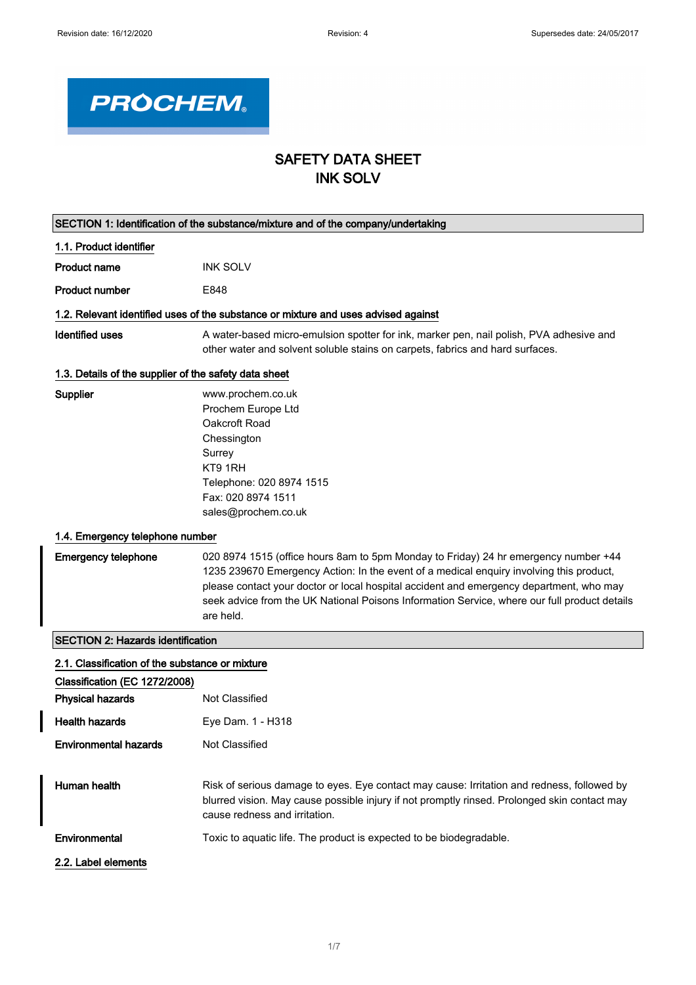

# SAFETY DATA SHEET INK SOLV

| SECTION 1: Identification of the substance/mixture and of the company/undertaking |                                                                                                                                                                                                                                                                                                                                                                                        |
|-----------------------------------------------------------------------------------|----------------------------------------------------------------------------------------------------------------------------------------------------------------------------------------------------------------------------------------------------------------------------------------------------------------------------------------------------------------------------------------|
| 1.1. Product identifier                                                           |                                                                                                                                                                                                                                                                                                                                                                                        |
| <b>Product name</b>                                                               | <b>INK SOLV</b>                                                                                                                                                                                                                                                                                                                                                                        |
| <b>Product number</b>                                                             | E848                                                                                                                                                                                                                                                                                                                                                                                   |
|                                                                                   | 1.2. Relevant identified uses of the substance or mixture and uses advised against                                                                                                                                                                                                                                                                                                     |
| <b>Identified uses</b>                                                            | A water-based micro-emulsion spotter for ink, marker pen, nail polish, PVA adhesive and<br>other water and solvent soluble stains on carpets, fabrics and hard surfaces.                                                                                                                                                                                                               |
| 1.3. Details of the supplier of the safety data sheet                             |                                                                                                                                                                                                                                                                                                                                                                                        |
| <b>Supplier</b>                                                                   | www.prochem.co.uk<br>Prochem Europe Ltd<br>Oakcroft Road<br>Chessington<br>Surrey<br>KT9 1RH<br>Telephone: 020 8974 1515<br>Fax: 020 8974 1511<br>sales@prochem.co.uk                                                                                                                                                                                                                  |
| 1.4. Emergency telephone number                                                   |                                                                                                                                                                                                                                                                                                                                                                                        |
| <b>Emergency telephone</b>                                                        | 020 8974 1515 (office hours 8am to 5pm Monday to Friday) 24 hr emergency number +44<br>1235 239670 Emergency Action: In the event of a medical enquiry involving this product,<br>please contact your doctor or local hospital accident and emergency department, who may<br>seek advice from the UK National Poisons Information Service, where our full product details<br>are held. |
| <b>SECTION 2: Hazards identification</b>                                          |                                                                                                                                                                                                                                                                                                                                                                                        |
| 2.1. Classification of the substance or mixture                                   |                                                                                                                                                                                                                                                                                                                                                                                        |
| Classification (EC 1272/2008)                                                     |                                                                                                                                                                                                                                                                                                                                                                                        |
| <b>Physical hazards</b>                                                           | Not Classified                                                                                                                                                                                                                                                                                                                                                                         |
| <b>Health hazards</b>                                                             | Eye Dam. 1 - H318                                                                                                                                                                                                                                                                                                                                                                      |
| <b>Environmental hazards</b>                                                      | Not Classified                                                                                                                                                                                                                                                                                                                                                                         |
| Human health                                                                      | Risk of serious damage to eyes. Eye contact may cause: Irritation and redness, followed by<br>blurred vision. May cause possible injury if not promptly rinsed. Prolonged skin contact may<br>cause redness and irritation.                                                                                                                                                            |
| Environmental                                                                     | Toxic to aquatic life. The product is expected to be biodegradable.                                                                                                                                                                                                                                                                                                                    |
| 2.2. Label elements                                                               |                                                                                                                                                                                                                                                                                                                                                                                        |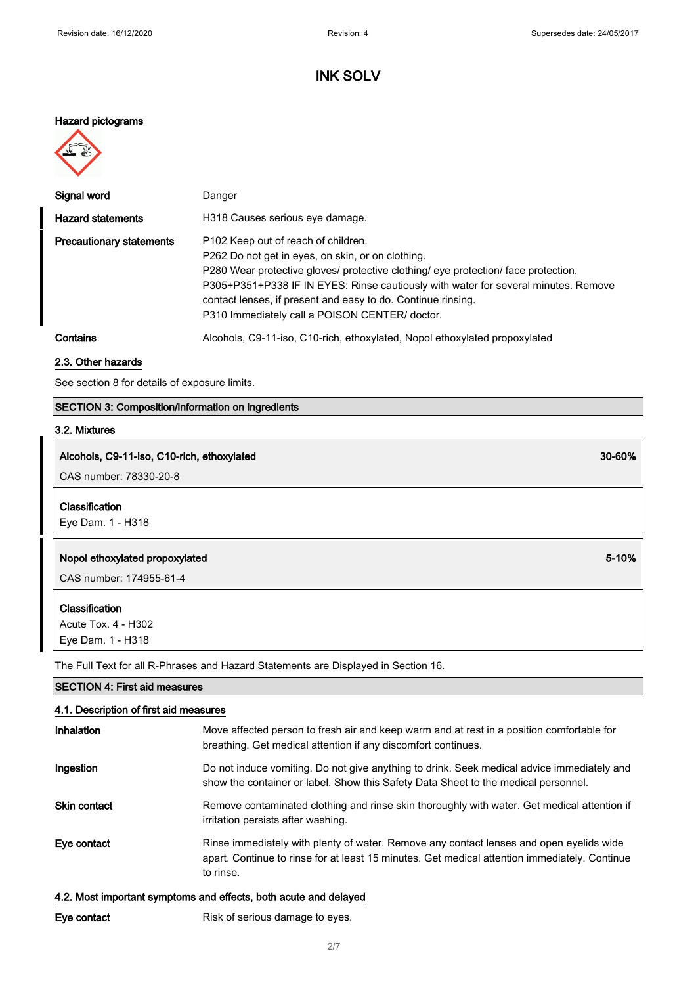### Hazard pictograms



| Signal word                     | Danger                                                                                                                                                                                                                                                                                                                                                                                             |
|---------------------------------|----------------------------------------------------------------------------------------------------------------------------------------------------------------------------------------------------------------------------------------------------------------------------------------------------------------------------------------------------------------------------------------------------|
| <b>Hazard statements</b>        | H318 Causes serious eye damage.                                                                                                                                                                                                                                                                                                                                                                    |
| <b>Precautionary statements</b> | P <sub>102</sub> Keep out of reach of children.<br>P262 Do not get in eyes, on skin, or on clothing.<br>P280 Wear protective gloves/ protective clothing/ eye protection/ face protection.<br>P305+P351+P338 IF IN EYES: Rinse cautiously with water for several minutes. Remove<br>contact lenses, if present and easy to do. Continue rinsing.<br>P310 Immediately call a POISON CENTER/ doctor. |
| Contains                        | Alcohols, C9-11-iso, C10-rich, ethoxylated, Nopol ethoxylated propoxylated                                                                                                                                                                                                                                                                                                                         |

#### 2.3. Other hazards

See section 8 for details of exposure limits.

## SECTION 3: Composition/information on ingredients

## 3.2. Mixtures

## Alcohols, C9-11-iso, C10-rich, ethoxylated 30-60%

CAS number: 78330-20-8

### Classification

Eye Dam. 1 - H318

### Nopol ethoxylated propoxylated 5-10%

CAS number: 174955-61-4

### Classification

Acute Tox. 4 - H302 Eye Dam. 1 - H318

The Full Text for all R-Phrases and Hazard Statements are Displayed in Section 16.

| <b>SECTION 4: First aid measures</b><br>4.1. Description of first aid measures |                                                                                                                                                                                                       |
|--------------------------------------------------------------------------------|-------------------------------------------------------------------------------------------------------------------------------------------------------------------------------------------------------|
|                                                                                |                                                                                                                                                                                                       |
| Ingestion                                                                      | Do not induce vomiting. Do not give anything to drink. Seek medical advice immediately and<br>show the container or label. Show this Safety Data Sheet to the medical personnel.                      |
| <b>Skin contact</b>                                                            | Remove contaminated clothing and rinse skin thoroughly with water. Get medical attention if<br>irritation persists after washing.                                                                     |
| Eye contact                                                                    | Rinse immediately with plenty of water. Remove any contact lenses and open eyelids wide<br>apart. Continue to rinse for at least 15 minutes. Get medical attention immediately. Continue<br>to rinse. |

### 4.2. Most important symptoms and effects, both acute and delayed

Eye contact **Risk of serious damage to eyes.**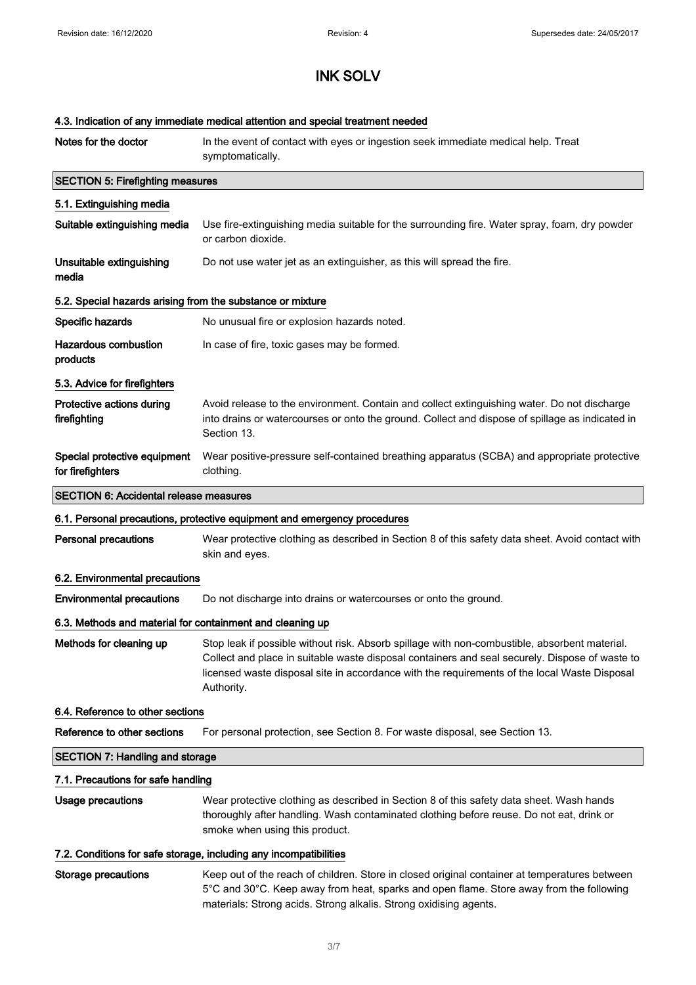### 4.3. Indication of any immediate medical attention and special treatment needed

| Notes for the doctor                                              | In the event of contact with eyes or ingestion seek immediate medical help. Treat<br>symptomatically.                                                                                                                                                                                                         |
|-------------------------------------------------------------------|---------------------------------------------------------------------------------------------------------------------------------------------------------------------------------------------------------------------------------------------------------------------------------------------------------------|
| <b>SECTION 5: Firefighting measures</b>                           |                                                                                                                                                                                                                                                                                                               |
| 5.1. Extinguishing media                                          |                                                                                                                                                                                                                                                                                                               |
| Suitable extinguishing media                                      | Use fire-extinguishing media suitable for the surrounding fire. Water spray, foam, dry powder<br>or carbon dioxide.                                                                                                                                                                                           |
| Unsuitable extinguishing<br>media                                 | Do not use water jet as an extinguisher, as this will spread the fire.                                                                                                                                                                                                                                        |
| 5.2. Special hazards arising from the substance or mixture        |                                                                                                                                                                                                                                                                                                               |
| Specific hazards                                                  | No unusual fire or explosion hazards noted.                                                                                                                                                                                                                                                                   |
| <b>Hazardous combustion</b><br>products                           | In case of fire, toxic gases may be formed.                                                                                                                                                                                                                                                                   |
| 5.3. Advice for firefighters                                      |                                                                                                                                                                                                                                                                                                               |
| Protective actions during<br>firefighting                         | Avoid release to the environment. Contain and collect extinguishing water. Do not discharge<br>into drains or watercourses or onto the ground. Collect and dispose of spillage as indicated in<br>Section 13.                                                                                                 |
| Special protective equipment<br>for firefighters                  | Wear positive-pressure self-contained breathing apparatus (SCBA) and appropriate protective<br>clothing.                                                                                                                                                                                                      |
| <b>SECTION 6: Accidental release measures</b>                     |                                                                                                                                                                                                                                                                                                               |
|                                                                   | 6.1. Personal precautions, protective equipment and emergency procedures                                                                                                                                                                                                                                      |
| <b>Personal precautions</b>                                       | Wear protective clothing as described in Section 8 of this safety data sheet. Avoid contact with<br>skin and eyes.                                                                                                                                                                                            |
| 6.2. Environmental precautions                                    |                                                                                                                                                                                                                                                                                                               |
| <b>Environmental precautions</b>                                  | Do not discharge into drains or watercourses or onto the ground.                                                                                                                                                                                                                                              |
| 6.3. Methods and material for containment and cleaning up         |                                                                                                                                                                                                                                                                                                               |
| Methods for cleaning up                                           | Stop leak if possible without risk. Absorb spillage with non-combustible, absorbent material.<br>Collect and place in suitable waste disposal containers and seal securely. Dispose of waste to<br>licensed waste disposal site in accordance with the requirements of the local Waste Disposal<br>Authority. |
| 6.4. Reference to other sections                                  |                                                                                                                                                                                                                                                                                                               |
| Reference to other sections                                       | For personal protection, see Section 8. For waste disposal, see Section 13.                                                                                                                                                                                                                                   |
| <b>SECTION 7: Handling and storage</b>                            |                                                                                                                                                                                                                                                                                                               |
| 7.1. Precautions for safe handling                                |                                                                                                                                                                                                                                                                                                               |
| <b>Usage precautions</b>                                          | Wear protective clothing as described in Section 8 of this safety data sheet. Wash hands<br>thoroughly after handling. Wash contaminated clothing before reuse. Do not eat, drink or<br>smoke when using this product.                                                                                        |
| 7.2. Conditions for safe storage, including any incompatibilities |                                                                                                                                                                                                                                                                                                               |
| <b>Storage precautions</b>                                        | Keep out of the reach of children. Store in closed original container at temperatures between<br>5°C and 30°C. Keep away from heat, sparks and open flame. Store away from the following                                                                                                                      |

materials: Strong acids. Strong alkalis. Strong oxidising agents.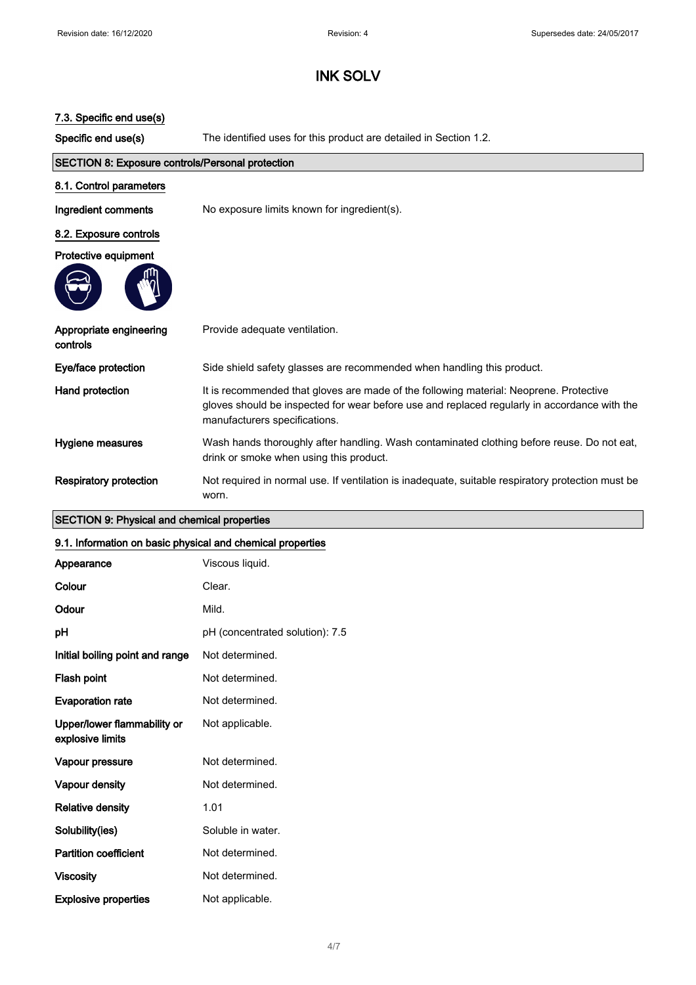## 7.3. Specific end use(s)

Specific end use(s) The identified uses for this product are detailed in Section 1.2.

| <b>SECTION 8: Exposure controls/Personal protection</b> |                                                                                                                                                                                                                         |
|---------------------------------------------------------|-------------------------------------------------------------------------------------------------------------------------------------------------------------------------------------------------------------------------|
| 8.1. Control parameters                                 |                                                                                                                                                                                                                         |
| Ingredient comments                                     | No exposure limits known for ingredient(s).                                                                                                                                                                             |
| 8.2. Exposure controls                                  |                                                                                                                                                                                                                         |
| Protective equipment                                    |                                                                                                                                                                                                                         |
|                                                         |                                                                                                                                                                                                                         |
| Appropriate engineering<br>controls                     | Provide adequate ventilation.                                                                                                                                                                                           |
| Eye/face protection                                     | Side shield safety glasses are recommended when handling this product.                                                                                                                                                  |
| Hand protection                                         | It is recommended that gloves are made of the following material: Neoprene. Protective<br>gloves should be inspected for wear before use and replaced regularly in accordance with the<br>manufacturers specifications. |
| Hygiene measures                                        | Wash hands thoroughly after handling. Wash contaminated clothing before reuse. Do not eat,<br>drink or smoke when using this product.                                                                                   |
| <b>Respiratory protection</b>                           | Not required in normal use. If ventilation is inadequate, suitable respiratory protection must be<br>worn.                                                                                                              |

## SECTION 9: Physical and chemical properties

### 9.1. Information on basic physical and chemical properties

| Appearance                                      | Viscous liquid.                 |
|-------------------------------------------------|---------------------------------|
| Colour                                          | Clear.                          |
| Odour                                           | Mild.                           |
| рH                                              | pH (concentrated solution): 7.5 |
| Initial boiling point and range                 | Not determined.                 |
| Flash point                                     | Not determined.                 |
| <b>Evaporation rate</b>                         | Not determined.                 |
| Upper/lower flammability or<br>explosive limits | Not applicable.                 |
| Vapour pressure                                 | Not determined.                 |
| Vapour density                                  | Not determined.                 |
| <b>Relative density</b>                         | 1.01                            |
| Solubility(ies)                                 | Soluble in water.               |
| <b>Partition coefficient</b>                    | Not determined.                 |
| <b>Viscosity</b>                                | Not determined.                 |
| <b>Explosive properties</b>                     | Not applicable.                 |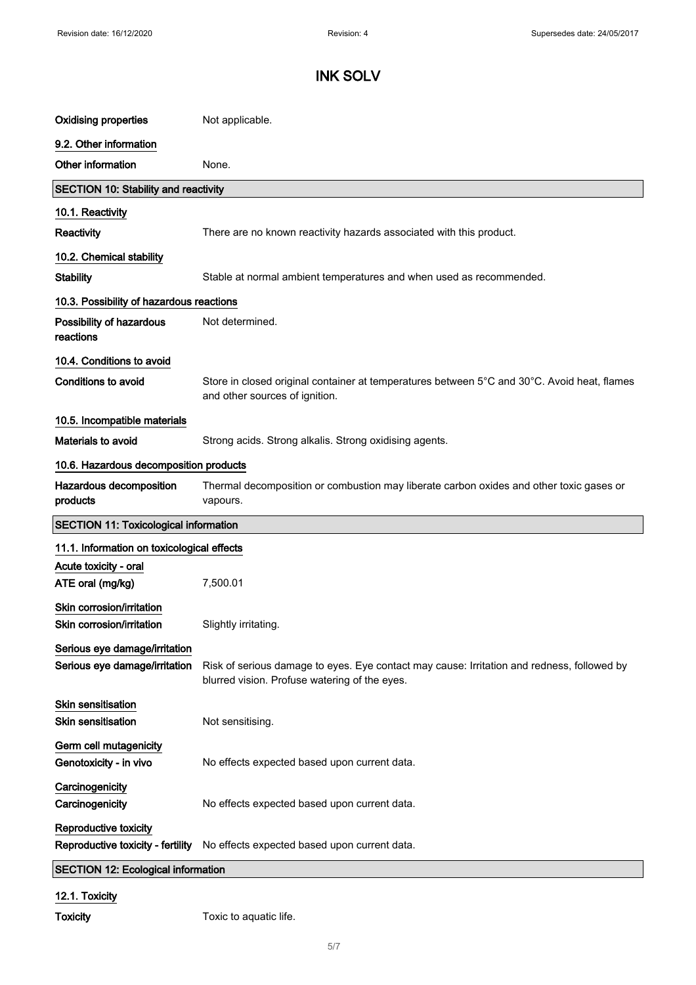| <b>Oxidising properties</b>                                    | Not applicable.                                                                                                                             |
|----------------------------------------------------------------|---------------------------------------------------------------------------------------------------------------------------------------------|
| 9.2. Other information                                         |                                                                                                                                             |
| Other information                                              | None.                                                                                                                                       |
| <b>SECTION 10: Stability and reactivity</b>                    |                                                                                                                                             |
| 10.1. Reactivity                                               |                                                                                                                                             |
| Reactivity                                                     | There are no known reactivity hazards associated with this product.                                                                         |
| 10.2. Chemical stability                                       |                                                                                                                                             |
| <b>Stability</b>                                               | Stable at normal ambient temperatures and when used as recommended.                                                                         |
| 10.3. Possibility of hazardous reactions                       |                                                                                                                                             |
| Possibility of hazardous<br>reactions                          | Not determined.                                                                                                                             |
| 10.4. Conditions to avoid                                      |                                                                                                                                             |
| <b>Conditions to avoid</b>                                     | Store in closed original container at temperatures between 5°C and 30°C. Avoid heat, flames<br>and other sources of ignition.               |
| 10.5. Incompatible materials                                   |                                                                                                                                             |
| Materials to avoid                                             | Strong acids. Strong alkalis. Strong oxidising agents.                                                                                      |
| 10.6. Hazardous decomposition products                         |                                                                                                                                             |
| Hazardous decomposition<br>products                            | Thermal decomposition or combustion may liberate carbon oxides and other toxic gases or<br>vapours.                                         |
| <b>SECTION 11: Toxicological information</b>                   |                                                                                                                                             |
| 11.1. Information on toxicological effects                     |                                                                                                                                             |
| Acute toxicity - oral<br>ATE oral (mg/kg)                      | 7,500.01                                                                                                                                    |
| Skin corrosion/irritation<br>Skin corrosion/irritation         | Slightly irritating.                                                                                                                        |
| Serious eye damage/irritation<br>Serious eye damage/irritation | Risk of serious damage to eyes. Eye contact may cause: Irritation and redness, followed by<br>blurred vision. Profuse watering of the eyes. |
| <b>Skin sensitisation</b><br><b>Skin sensitisation</b>         | Not sensitising.                                                                                                                            |
| Germ cell mutagenicity<br>Genotoxicity - in vivo               | No effects expected based upon current data.                                                                                                |
| Carcinogenicity<br>Carcinogenicity                             | No effects expected based upon current data.                                                                                                |
| Reproductive toxicity<br>Reproductive toxicity - fertility     | No effects expected based upon current data.                                                                                                |
| <b>SECTION 12: Ecological information</b>                      |                                                                                                                                             |

12.1. Toxicity

Toxicity Toxic to aquatic life.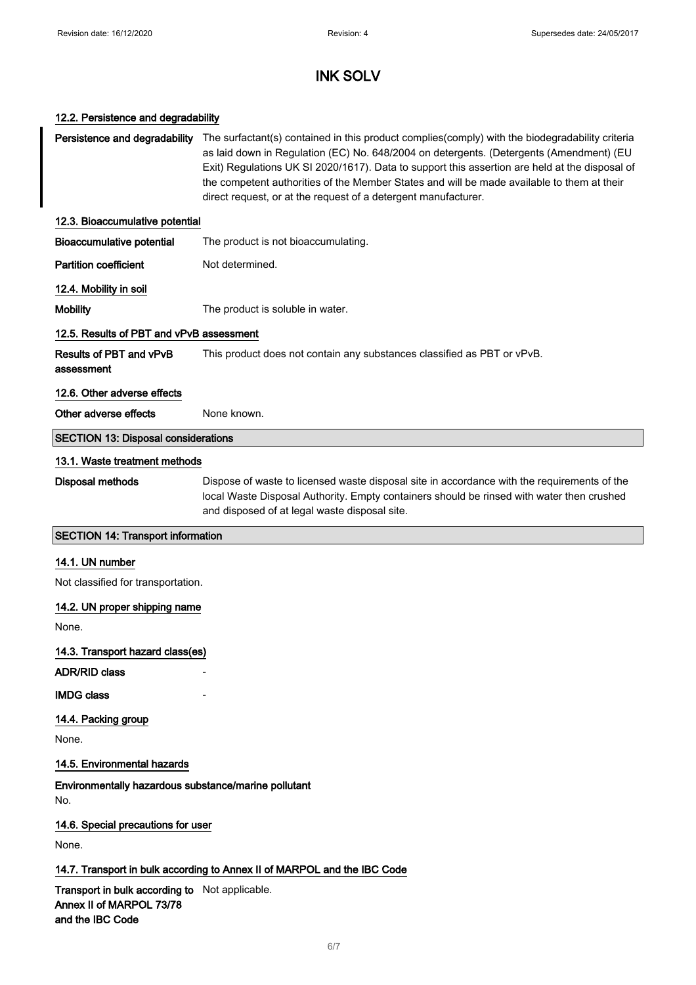#### 12.2. Persistence and degradability

Persistence and degradability The surfactant(s) contained in this product complies(comply) with the biodegradability criteria as laid down in Regulation (EC) No. 648/2004 on detergents. (Detergents (Amendment) (EU Exit) Regulations UK SI 2020/1617). Data to support this assertion are held at the disposal of the competent authorities of the Member States and will be made available to them at their direct request, or at the request of a detergent manufacturer. 12.3. Bioaccumulative potential Bioaccumulative potential The product is not bioaccumulating. Partition coefficient Not determined. 12.4. Mobility in soil Mobility **Mobility** The product is soluble in water. 12.5. Results of PBT and vPvB assessment Results of PBT and vPvB assessment This product does not contain any substances classified as PBT or vPvB. 12.6. Other adverse effects Other adverse effects None known. SECTION 13: Disposal considerations 13.1. Waste treatment methods Disposal methods Dispose of waste to licensed waste disposal site in accordance with the requirements of the local Waste Disposal Authority. Empty containers should be rinsed with water then crushed and disposed of at legal waste disposal site. SECTION 14: Transport information 14.1. UN number Not classified for transportation. 14.2. UN proper shipping name None. 14.3. Transport hazard class(es) ADR/RID class **IMDG class** 14.4. Packing group None. 14.5. Environmental hazards Environmentally hazardous substance/marine pollutant No. 14.6. Special precautions for user

None.

### 14.7. Transport in bulk according to Annex II of MARPOL and the IBC Code

Transport in bulk according to Not applicable. Annex II of MARPOL 73/78 and the IBC Code